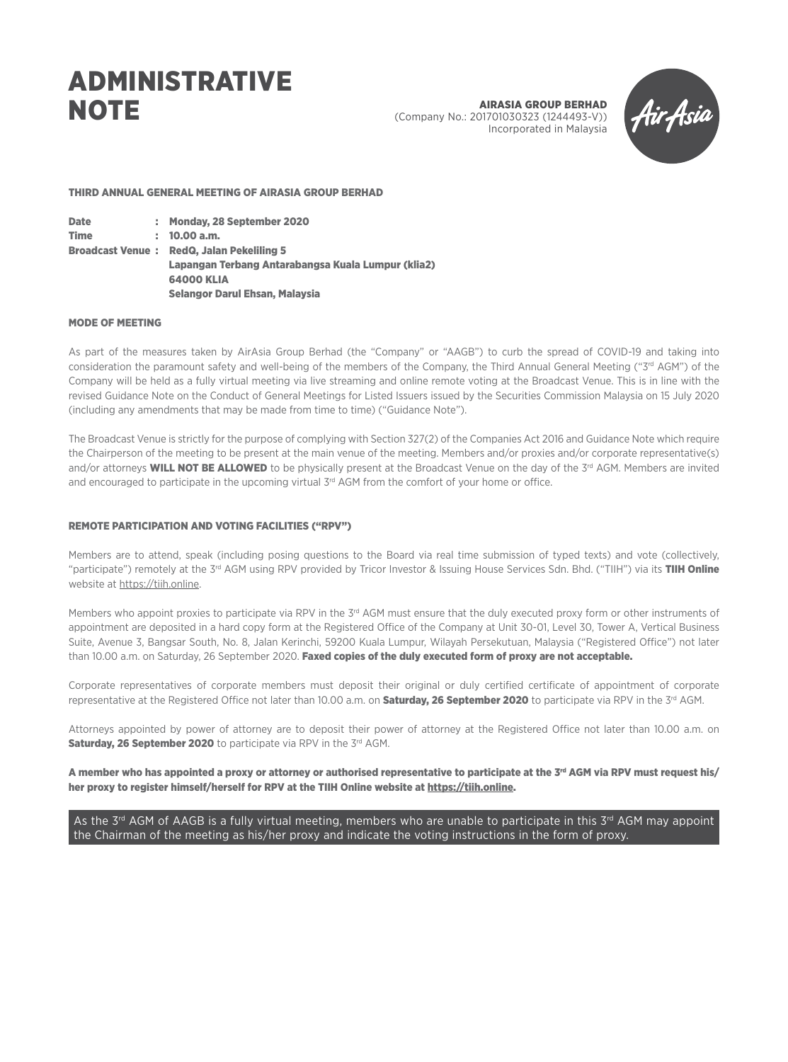# ADMINISTRATIVE **NOTE**

AIRASIA GROUP BERHAD (Company No.: 201701030323 (1244493-V)) Incorporated in Malaysia



### THIRD ANNUAL GENERAL MEETING OF AIRASIA GROUP BERHAD

Date : Monday, 28 September 2020 Time : 10.00 a.m. Broadcast Venue : RedQ, Jalan Pekeliling 5 Lapangan Terbang Antarabangsa Kuala Lumpur (klia2) 64000 KLIA Selangor Darul Ehsan, Malaysia

### MODE OF MEETING

As part of the measures taken by AirAsia Group Berhad (the "Company" or "AAGB") to curb the spread of COVID-19 and taking into consideration the paramount safety and well-being of the members of the Company, the Third Annual General Meeting ("3<sup>rd</sup> AGM") of the Company will be held as a fully virtual meeting via live streaming and online remote voting at the Broadcast Venue. This is in line with the revised Guidance Note on the Conduct of General Meetings for Listed Issuers issued by the Securities Commission Malaysia on 15 July 2020 (including any amendments that may be made from time to time) ("Guidance Note").

The Broadcast Venue is strictly for the purpose of complying with Section 327(2) of the Companies Act 2016 and Guidance Note which require the Chairperson of the meeting to be present at the main venue of the meeting. Members and/or proxies and/or corporate representative(s) and/or attorneys WILL NOT BE ALLOWED to be physically present at the Broadcast Venue on the day of the 3rd AGM. Members are invited and encouraged to participate in the upcoming virtual 3rd AGM from the comfort of your home or office.

### REMOTE PARTICIPATION AND VOTING FACILITIES ("RPV")

Members are to attend, speak (including posing questions to the Board via real time submission of typed texts) and vote (collectively, "participate") remotely at the 3<sup>rd</sup> AGM using RPV provided by Tricor Investor & Issuing House Services Sdn. Bhd. ("TIIH") via its **TIIH Online** website at https://tiih.online.

Members who appoint proxies to participate via RPV in the 3<sup>rd</sup> AGM must ensure that the duly executed proxy form or other instruments of appointment are deposited in a hard copy form at the Registered Office of the Company at Unit 30-01, Level 30, Tower A, Vertical Business Suite, Avenue 3, Bangsar South, No. 8, Jalan Kerinchi, 59200 Kuala Lumpur, Wilayah Persekutuan, Malaysia ("Registered Office") not later than 10.00 a.m. on Saturday, 26 September 2020. Faxed copies of the duly executed form of proxy are not acceptable.

Corporate representatives of corporate members must deposit their original or duly certified certificate of appointment of corporate representative at the Registered Office not later than 10.00 a.m. on **Saturday, 26 September 2020** to participate via RPV in the 3<sup>rd</sup> AGM.

Attorneys appointed by power of attorney are to deposit their power of attorney at the Registered Office not later than 10.00 a.m. on Saturday, 26 September 2020 to participate via RPV in the 3rd AGM.

A member who has appointed a proxy or attorney or authorised representative to participate at the  $3<sup>rd</sup>$  AGM via RPV must request his/ her proxy to register himself/herself for RPV at the TIIH Online website at https://tiih.online.

As the  $3<sup>rd</sup>$  AGM of AAGB is a fully virtual meeting, members who are unable to participate in this  $3<sup>rd</sup>$  AGM may appoint the Chairman of the meeting as his/her proxy and indicate the voting instructions in the form of proxy.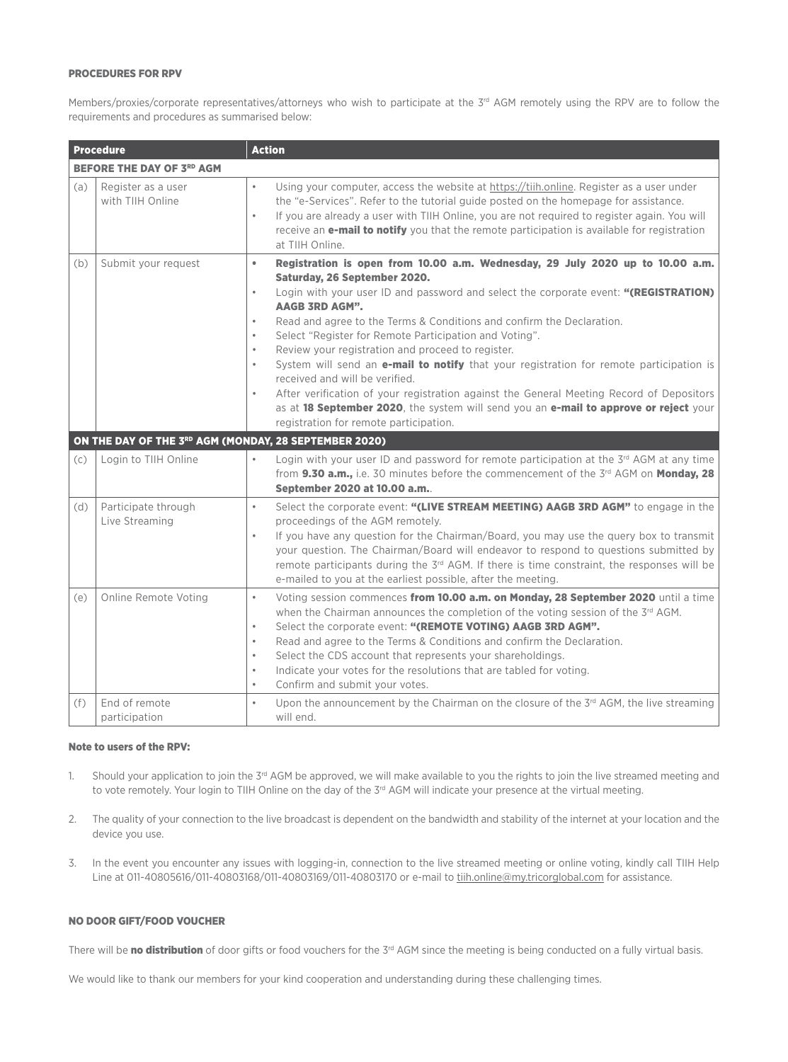### PROCEDURES FOR RPV

Members/proxies/corporate representatives/attorneys who wish to participate at the 3<sup>rd</sup> AGM remotely using the RPV are to follow the requirements and procedures as summarised below:

|     | <b>Procedure</b>                                      | <b>Action</b>                                                                                                                                                                                                                                                                                                                                                                                                                                                                                                                                                                                                                                                                                                                                                                                                                                                                 |
|-----|-------------------------------------------------------|-------------------------------------------------------------------------------------------------------------------------------------------------------------------------------------------------------------------------------------------------------------------------------------------------------------------------------------------------------------------------------------------------------------------------------------------------------------------------------------------------------------------------------------------------------------------------------------------------------------------------------------------------------------------------------------------------------------------------------------------------------------------------------------------------------------------------------------------------------------------------------|
|     | <b>BEFORE THE DAY OF 3RD AGM</b>                      |                                                                                                                                                                                                                                                                                                                                                                                                                                                                                                                                                                                                                                                                                                                                                                                                                                                                               |
| (a) | Register as a user<br>with TIIH Online                | Using your computer, access the website at https://tiih.online. Register as a user under<br>$\bullet$<br>the "e-Services". Refer to the tutorial guide posted on the homepage for assistance.<br>If you are already a user with TIIH Online, you are not required to register again. You will<br>$\bullet$<br>receive an <b>e-mail to notify</b> you that the remote participation is available for registration<br>at TIIH Online.                                                                                                                                                                                                                                                                                                                                                                                                                                           |
| (b) | Submit your request                                   | Registration is open from 10.00 a.m. Wednesday, 29 July 2020 up to 10.00 a.m.<br>$\bullet$<br>Saturday, 26 September 2020.<br>Login with your user ID and password and select the corporate event: "(REGISTRATION)<br>$\bullet$<br><b>AAGB 3RD AGM".</b><br>Read and agree to the Terms & Conditions and confirm the Declaration.<br>$\bullet$<br>Select "Register for Remote Participation and Voting".<br>$\bullet$<br>Review your registration and proceed to register.<br>$\bullet$<br>System will send an e-mail to notify that your registration for remote participation is<br>$\bullet$<br>received and will be verified.<br>After verification of your registration against the General Meeting Record of Depositors<br>$\bullet$<br>as at 18 September 2020, the system will send you an e-mail to approve or reject your<br>registration for remote participation. |
|     | ON THE DAY OF THE 3RD AGM (MONDAY, 28 SEPTEMBER 2020) |                                                                                                                                                                                                                                                                                                                                                                                                                                                                                                                                                                                                                                                                                                                                                                                                                                                                               |
| (c) | Login to TIIH Online                                  | Login with your user ID and password for remote participation at the 3rd AGM at any time<br>from 9.30 a.m., i.e. 30 minutes before the commencement of the 3rd AGM on Monday, 28<br>September 2020 at 10.00 a.m.                                                                                                                                                                                                                                                                                                                                                                                                                                                                                                                                                                                                                                                              |
| (d) | Participate through<br>Live Streaming                 | Select the corporate event: "(LIVE STREAM MEETING) AAGB 3RD AGM" to engage in the<br>$\bullet$<br>proceedings of the AGM remotely.<br>If you have any question for the Chairman/Board, you may use the query box to transmit<br>$\bullet$<br>your question. The Chairman/Board will endeavor to respond to questions submitted by<br>remote participants during the 3 <sup>rd</sup> AGM. If there is time constraint, the responses will be<br>e-mailed to you at the earliest possible, after the meeting.                                                                                                                                                                                                                                                                                                                                                                   |
| (e) | Online Remote Voting                                  | Voting session commences from 10.00 a.m. on Monday, 28 September 2020 until a time<br>$\bullet$<br>when the Chairman announces the completion of the voting session of the 3 <sup>rd</sup> AGM.<br>Select the corporate event: "(REMOTE VOTING) AAGB 3RD AGM".<br>$\bullet$<br>Read and agree to the Terms & Conditions and confirm the Declaration.<br>$\bullet$<br>Select the CDS account that represents your shareholdings.<br>$\bullet$<br>Indicate your votes for the resolutions that are tabled for voting.<br>$\bullet$<br>Confirm and submit your votes.<br>$\bullet$                                                                                                                                                                                                                                                                                               |
| (f) | End of remote<br>participation                        | Upon the announcement by the Chairman on the closure of the 3 <sup>rd</sup> AGM, the live streaming<br>$\bullet$<br>will end.                                                                                                                                                                                                                                                                                                                                                                                                                                                                                                                                                                                                                                                                                                                                                 |

### Note to users of the RPV:

- 1. Should your application to join the 3<sup>rd</sup> AGM be approved, we will make available to you the rights to join the live streamed meeting and to vote remotely. Your login to TIIH Online on the day of the 3<sup>rd</sup> AGM will indicate your presence at the virtual meeting.
- 2. The quality of your connection to the live broadcast is dependent on the bandwidth and stability of the internet at your location and the device you use.
- 3. In the event you encounter any issues with logging-in, connection to the live streamed meeting or online voting, kindly call TIIH Help Line at 011-40805616/011-40803168/011-40803169/011-40803170 or e-mail to tiih.online@my.tricorglobal.com for assistance.

### NO DOOR GIFT/FOOD VOUCHER

There will be no distribution of door gifts or food vouchers for the 3rd AGM since the meeting is being conducted on a fully virtual basis.

We would like to thank our members for your kind cooperation and understanding during these challenging times.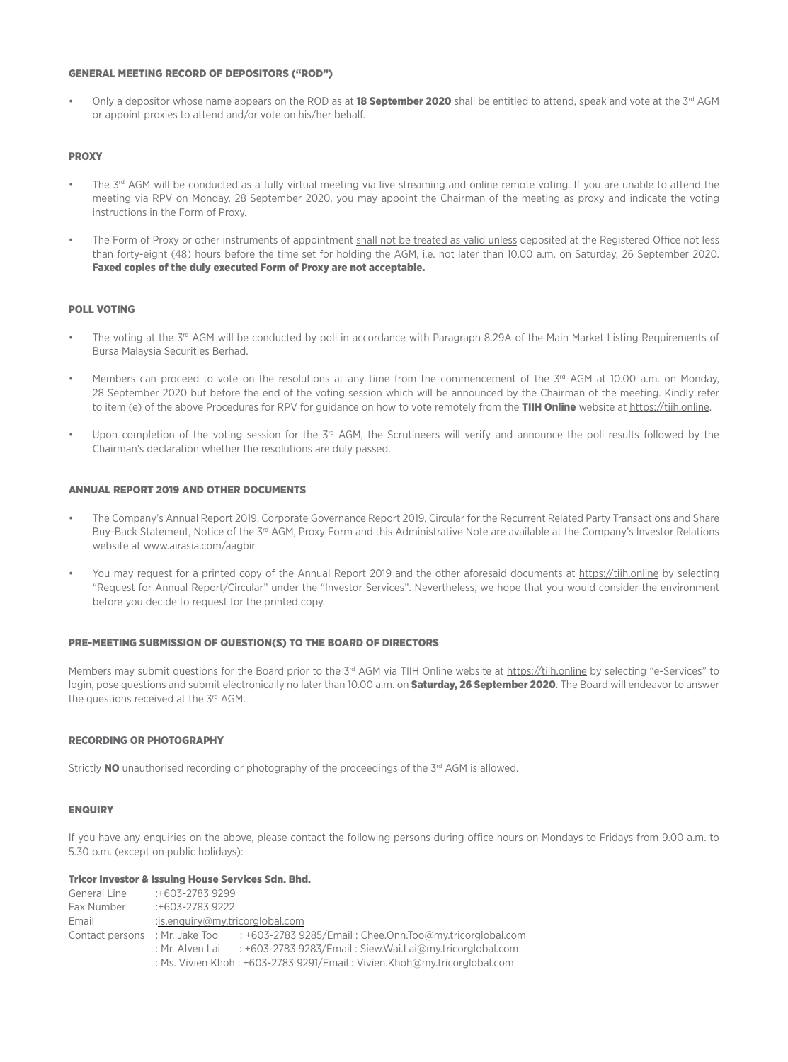### GENERAL MEETING RECORD OF DEPOSITORS ("ROD")

Only a depositor whose name appears on the ROD as at 18 September 2020 shall be entitled to attend, speak and vote at the  $3<sup>rd</sup>$  AGM or appoint proxies to attend and/or vote on his/her behalf.

### **PROXY**

- The 3<sup>rd</sup> AGM will be conducted as a fully virtual meeting via live streaming and online remote voting. If you are unable to attend the meeting via RPV on Monday, 28 September 2020, you may appoint the Chairman of the meeting as proxy and indicate the voting instructions in the Form of Proxy.
- The Form of Proxy or other instruments of appointment shall not be treated as valid unless deposited at the Registered Office not less than forty-eight (48) hours before the time set for holding the AGM, i.e. not later than 10.00 a.m. on Saturday, 26 September 2020. Faxed copies of the duly executed Form of Proxy are not acceptable.

### POLL VOTING

- The voting at the 3<sup>rd</sup> AGM will be conducted by poll in accordance with Paragraph 8.29A of the Main Market Listing Requirements of Bursa Malaysia Securities Berhad.
- Members can proceed to vote on the resolutions at any time from the commencement of the  $3<sup>rd</sup>$  AGM at 10.00 a.m. on Monday, 28 September 2020 but before the end of the voting session which will be announced by the Chairman of the meeting. Kindly refer to item (e) of the above Procedures for RPV for guidance on how to vote remotely from the TIIH Online website at https://tiih.online.
- Upon completion of the voting session for the  $3^{rd}$  AGM, the Scrutineers will verify and announce the poll results followed by the Chairman's declaration whether the resolutions are duly passed.

### ANNUAL REPORT 2019 AND OTHER DOCUMENTS

- The Company's Annual Report 2019, Corporate Governance Report 2019, Circular for the Recurrent Related Party Transactions and Share Buy-Back Statement, Notice of the 3<sup>rd</sup> AGM, Proxy Form and this Administrative Note are available at the Company's Investor Relations website at www.airasia.com/aagbir
- You may request for a printed copy of the Annual Report 2019 and the other aforesaid documents at https://tiih.online by selecting "Request for Annual Report/Circular" under the "Investor Services". Nevertheless, we hope that you would consider the environment before you decide to request for the printed copy.

### PRE-MEETING SUBMISSION OF QUESTION(S) TO THE BOARD OF DIRECTORS

Members may submit questions for the Board prior to the 3<sup>rd</sup> AGM via TIIH Online website at https://tiih.online by selecting "e-Services" to login, pose questions and submit electronically no later than 10.00 a.m. on Saturday, 26 September 2020. The Board will endeavor to answer the questions received at the 3rd AGM.

### RECORDING OR PHOTOGRAPHY

Strictly  $NO$  unauthorised recording or photography of the proceedings of the  $3<sup>rd</sup>$  AGM is allowed.

### **ENQUIRY**

If you have any enquiries on the above, please contact the following persons during office hours on Mondays to Fridays from 9.00 a.m. to 5.30 p.m. (except on public holidays):

### Tricor Investor & Issuing House Services Sdn. Bhd.

General Line :+603-2783 9299 Fax Number :+603-2783 9222 Email :is.enquiry@my.tricorglobal.com Contact persons : Mr. Jake Too : +603-2783 9285/Email : Chee.Onn.Too@my.tricorglobal.com : Mr. Alven Lai : +603-2783 9283/Email : Siew.Wai.Lai@my.tricorglobal.com : Ms. Vivien Khoh : +603-2783 9291/Email : Vivien.Khoh@my.tricorglobal.com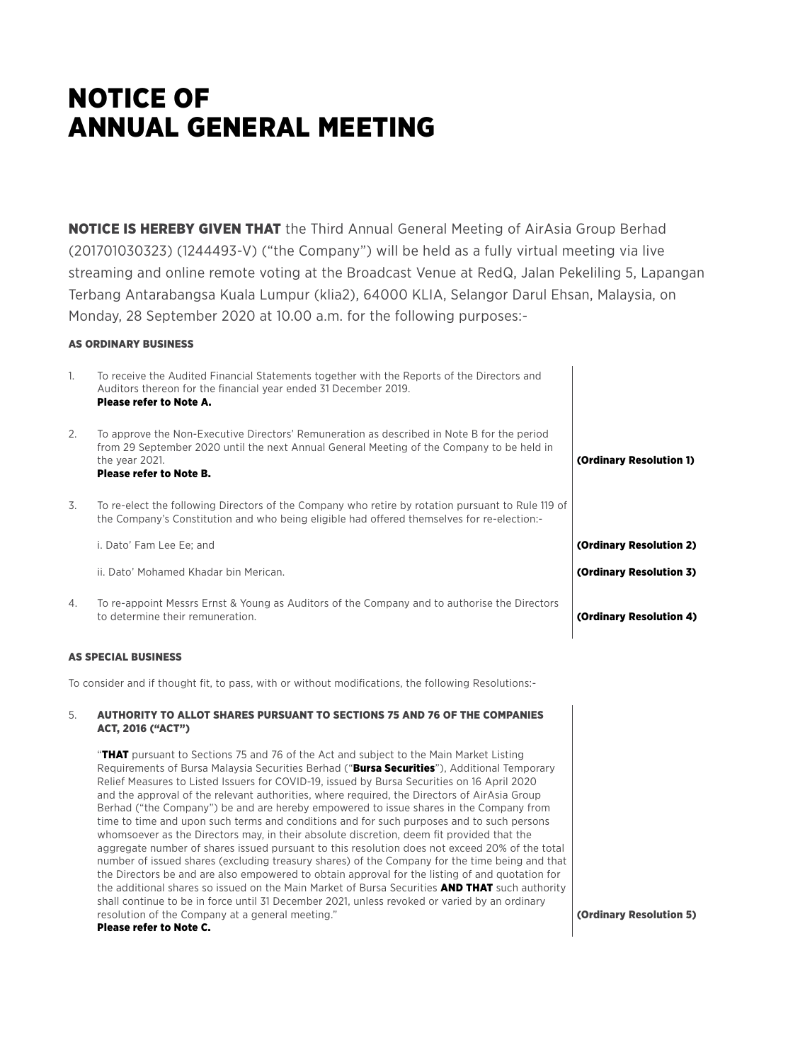# **NOTICE OF** Annual General Meeting

**NOTICE IS HEREBY GIVEN THAT** the Third Annual General Meeting of AirAsia Group Berhad (201701030323) (1244493-V) ("the Company") will be held as a fully virtual meeting via live streaming and online remote voting at the Broadcast Venue at RedQ, Jalan Pekeliling 5, Lapangan Terbang Antarabangsa Kuala Lumpur (klia2), 64000 KLIA, Selangor Darul Ehsan, Malaysia, on Monday, 28 September 2020 at 10.00 a.m. for the following purposes:-

### AS ORDINARY BUSINESS

| 1. | To receive the Audited Financial Statements together with the Reports of the Directors and<br>Auditors thereon for the financial year ended 31 December 2019.<br>Please refer to Note A.                                             |                         |
|----|--------------------------------------------------------------------------------------------------------------------------------------------------------------------------------------------------------------------------------------|-------------------------|
| 2. | To approve the Non-Executive Directors' Remuneration as described in Note B for the period<br>from 29 September 2020 until the next Annual General Meeting of the Company to be held in<br>the year 2021.<br>Please refer to Note B. | (Ordinary Resolution 1) |
| 3. | To re-elect the following Directors of the Company who retire by rotation pursuant to Rule 119 of<br>the Company's Constitution and who being eligible had offered themselves for re-election:-                                      |                         |
|    | i. Dato' Fam Lee Ee; and                                                                                                                                                                                                             | (Ordinary Resolution 2) |
|    | ii. Dato' Mohamed Khadar bin Merican.                                                                                                                                                                                                | (Ordinary Resolution 3) |
| 4. | To re-appoint Messrs Ernst & Young as Auditors of the Company and to authorise the Directors<br>to determine their remuneration.                                                                                                     | (Ordinary Resolution 4) |

### AS SPECIAL BUSINESS

To consider and if thought fit, to pass, with or without modifications, the following Resolutions:-

### 5. AUTHORITY TO ALLOT SHARES PURSUANT TO SECTIONS 75 AND 76 OF THE COMPANIES ACT, 2016 ("ACT")

**"THAT** pursuant to Sections 75 and 76 of the Act and subject to the Main Market Listing Requirements of Bursa Malaysia Securities Berhad ("Bursa Securities"), Additional Temporary Relief Measures to Listed Issuers for COVID-19, issued by Bursa Securities on 16 April 2020 and the approval of the relevant authorities, where required, the Directors of AirAsia Group Berhad ("the Company") be and are hereby empowered to issue shares in the Company from time to time and upon such terms and conditions and for such purposes and to such persons whomsoever as the Directors may, in their absolute discretion, deem fit provided that the aggregate number of shares issued pursuant to this resolution does not exceed 20% of the total number of issued shares (excluding treasury shares) of the Company for the time being and that the Directors be and are also empowered to obtain approval for the listing of and quotation for the additional shares so issued on the Main Market of Bursa Securities AND THAT such authority shall continue to be in force until 31 December 2021, unless revoked or varied by an ordinary resolution of the Company at a general meeting."

### Please refer to Note C.

(Ordinary Resolution 5)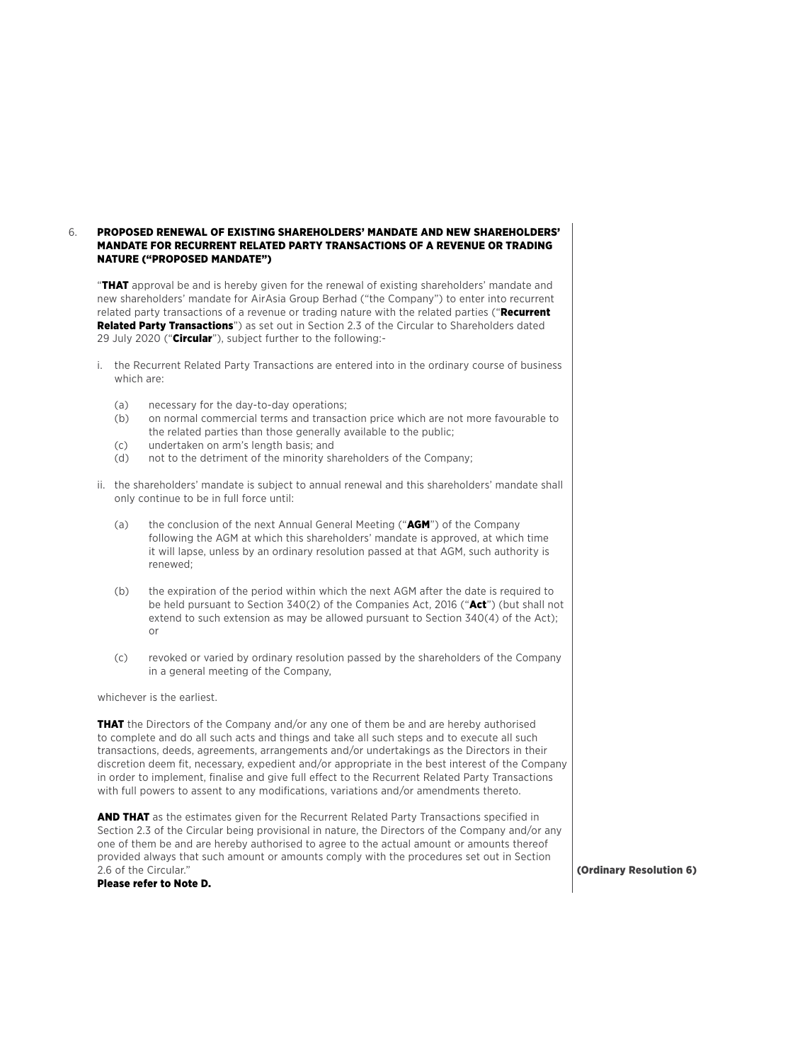### 6. PROPOSED RENEWAL OF EXISTING SHAREHOLDERS' MANDATE AND NEW SHAREHOLDERS' MANDATE FOR RECURRENT RELATED PARTY TRANSACTIONS OF A REVENUE OR TRADING NATURE ("PROPOSED MANDATE")

"THAT approval be and is hereby given for the renewal of existing shareholders' mandate and new shareholders' mandate for AirAsia Group Berhad ("the Company") to enter into recurrent related party transactions of a revenue or trading nature with the related parties ("Recurrent Related Party Transactions") as set out in Section 2.3 of the Circular to Shareholders dated 29 July 2020 ("Circular"), subject further to the following:-

- i. the Recurrent Related Party Transactions are entered into in the ordinary course of business which are:
	- (a) necessary for the day-to-day operations;
	- (b) on normal commercial terms and transaction price which are not more favourable to the related parties than those generally available to the public;
	- (c) undertaken on arm's length basis; and
	- (d) not to the detriment of the minority shareholders of the Company;
- ii. the shareholders' mandate is subject to annual renewal and this shareholders' mandate shall only continue to be in full force until:
	- (a) the conclusion of the next Annual General Meeting (" $AGM$ ") of the Company following the AGM at which this shareholders' mandate is approved, at which time it will lapse, unless by an ordinary resolution passed at that AGM, such authority is renewed;
	- (b) the expiration of the period within which the next AGM after the date is required to be held pursuant to Section 340(2) of the Companies Act, 2016 ("Act") (but shall not extend to such extension as may be allowed pursuant to Section 340(4) of the Act); or
	- (c) revoked or varied by ordinary resolution passed by the shareholders of the Company in a general meeting of the Company,

whichever is the earliest.

THAT the Directors of the Company and/or any one of them be and are hereby authorised to complete and do all such acts and things and take all such steps and to execute all such transactions, deeds, agreements, arrangements and/or undertakings as the Directors in their discretion deem fit, necessary, expedient and/or appropriate in the best interest of the Company in order to implement, finalise and give full effect to the Recurrent Related Party Transactions with full powers to assent to any modifications, variations and/or amendments thereto.

AND THAT as the estimates given for the Recurrent Related Party Transactions specified in Section 2.3 of the Circular being provisional in nature, the Directors of the Company and/or any one of them be and are hereby authorised to agree to the actual amount or amounts thereof provided always that such amount or amounts comply with the procedures set out in Section 2.6 of the Circular."

Please refer to Note D.

(Ordinary Resolution 6)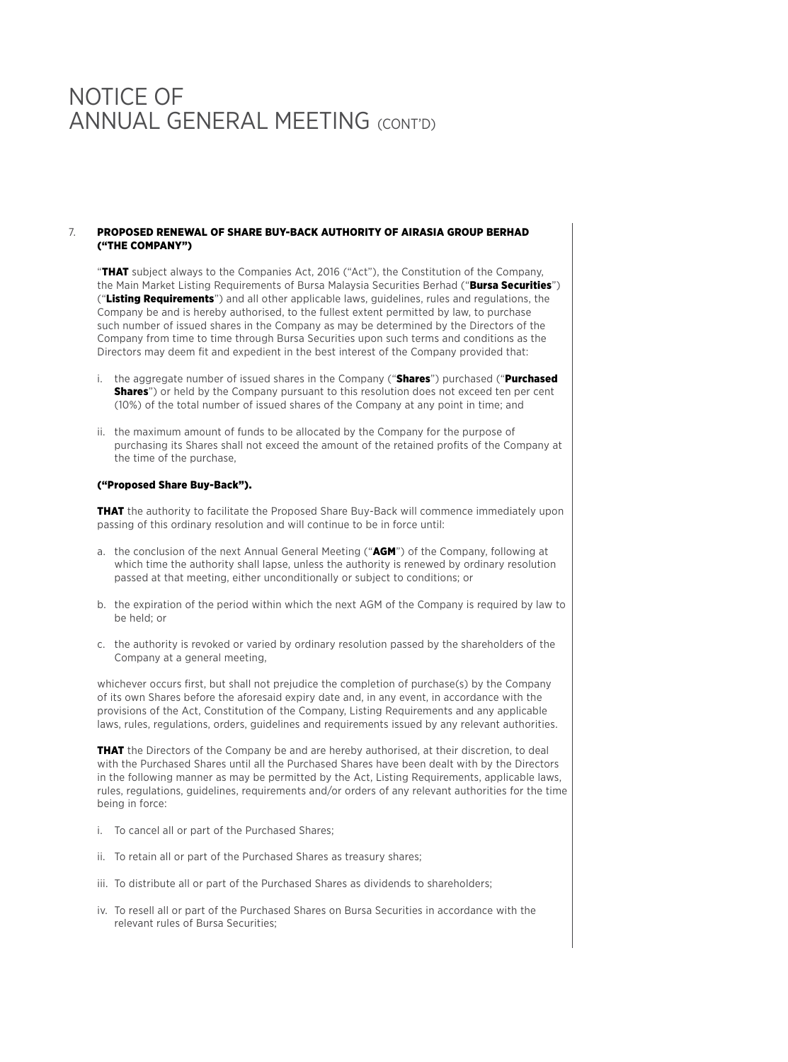### 7. PROPOSED RENEWAL OF SHARE BUY-BACK AUTHORITY OF AIRASIA GROUP BERHAD ("THE COMPANY")

"THAT subject always to the Companies Act, 2016 ("Act"), the Constitution of the Company, the Main Market Listing Requirements of Bursa Malaysia Securities Berhad ("Bursa Securities") ("Listing Requirements") and all other applicable laws, guidelines, rules and regulations, the Company be and is hereby authorised, to the fullest extent permitted by law, to purchase such number of issued shares in the Company as may be determined by the Directors of the Company from time to time through Bursa Securities upon such terms and conditions as the Directors may deem fit and expedient in the best interest of the Company provided that:

- i. the aggregate number of issued shares in the Company ("Shares") purchased ("Purchased **Shares**") or held by the Company pursuant to this resolution does not exceed ten per cent (10%) of the total number of issued shares of the Company at any point in time; and
- ii. the maximum amount of funds to be allocated by the Company for the purpose of purchasing its Shares shall not exceed the amount of the retained profits of the Company at the time of the purchase,

### ("Proposed Share Buy-Back").

**THAT** the authority to facilitate the Proposed Share Buy-Back will commence immediately upon passing of this ordinary resolution and will continue to be in force until:

- a. the conclusion of the next Annual General Meeting ("AGM") of the Company, following at which time the authority shall lapse, unless the authority is renewed by ordinary resolution passed at that meeting, either unconditionally or subject to conditions; or
- b. the expiration of the period within which the next AGM of the Company is required by law to be held; or
- c. the authority is revoked or varied by ordinary resolution passed by the shareholders of the Company at a general meeting,

whichever occurs first, but shall not prejudice the completion of purchase(s) by the Company of its own Shares before the aforesaid expiry date and, in any event, in accordance with the provisions of the Act, Constitution of the Company, Listing Requirements and any applicable laws, rules, regulations, orders, guidelines and requirements issued by any relevant authorities.

**THAT** the Directors of the Company be and are hereby authorised, at their discretion, to deal with the Purchased Shares until all the Purchased Shares have been dealt with by the Directors in the following manner as may be permitted by the Act, Listing Requirements, applicable laws, rules, regulations, guidelines, requirements and/or orders of any relevant authorities for the time being in force:

- i. To cancel all or part of the Purchased Shares;
- ii. To retain all or part of the Purchased Shares as treasury shares;
- iii. To distribute all or part of the Purchased Shares as dividends to shareholders;
- iv. To resell all or part of the Purchased Shares on Bursa Securities in accordance with the relevant rules of Bursa Securities;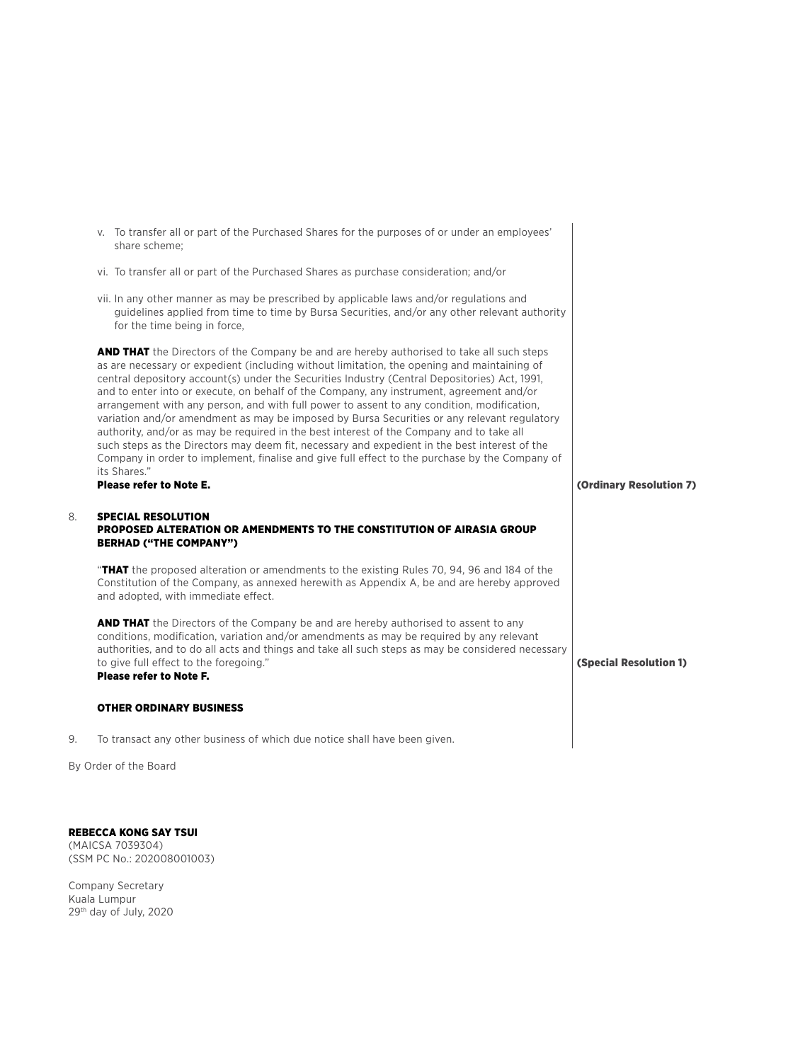|    | v. To transfer all or part of the Purchased Shares for the purposes of or under an employees'<br>share scheme:                                                                                                                                                                                                                                                                                                                                                                                                                                                                                                                                                                                                                                                                                                                                                                                           |                               |
|----|----------------------------------------------------------------------------------------------------------------------------------------------------------------------------------------------------------------------------------------------------------------------------------------------------------------------------------------------------------------------------------------------------------------------------------------------------------------------------------------------------------------------------------------------------------------------------------------------------------------------------------------------------------------------------------------------------------------------------------------------------------------------------------------------------------------------------------------------------------------------------------------------------------|-------------------------------|
|    | vi. To transfer all or part of the Purchased Shares as purchase consideration; and/or                                                                                                                                                                                                                                                                                                                                                                                                                                                                                                                                                                                                                                                                                                                                                                                                                    |                               |
|    | vii. In any other manner as may be prescribed by applicable laws and/or regulations and<br>guidelines applied from time to time by Bursa Securities, and/or any other relevant authority<br>for the time being in force,                                                                                                                                                                                                                                                                                                                                                                                                                                                                                                                                                                                                                                                                                 |                               |
|    | <b>AND THAT</b> the Directors of the Company be and are hereby authorised to take all such steps<br>as are necessary or expedient (including without limitation, the opening and maintaining of<br>central depository account(s) under the Securities Industry (Central Depositories) Act, 1991,<br>and to enter into or execute, on behalf of the Company, any instrument, agreement and/or<br>arrangement with any person, and with full power to assent to any condition, modification,<br>variation and/or amendment as may be imposed by Bursa Securities or any relevant regulatory<br>authority, and/or as may be required in the best interest of the Company and to take all<br>such steps as the Directors may deem fit, necessary and expedient in the best interest of the<br>Company in order to implement, finalise and give full effect to the purchase by the Company of<br>its Shares." |                               |
|    | <b>Please refer to Note E.</b>                                                                                                                                                                                                                                                                                                                                                                                                                                                                                                                                                                                                                                                                                                                                                                                                                                                                           | (Ordinary Resolution 7)       |
| 8. | <b>SPECIAL RESOLUTION</b><br>PROPOSED ALTERATION OR AMENDMENTS TO THE CONSTITUTION OF AIRASIA GROUP<br><b>BERHAD ("THE COMPANY")</b>                                                                                                                                                                                                                                                                                                                                                                                                                                                                                                                                                                                                                                                                                                                                                                     |                               |
|    | "THAT the proposed alteration or amendments to the existing Rules 70, 94, 96 and 184 of the<br>Constitution of the Company, as annexed herewith as Appendix A, be and are hereby approved<br>and adopted, with immediate effect.                                                                                                                                                                                                                                                                                                                                                                                                                                                                                                                                                                                                                                                                         |                               |
|    | <b>AND THAT</b> the Directors of the Company be and are hereby authorised to assent to any<br>conditions, modification, variation and/or amendments as may be required by any relevant<br>authorities, and to do all acts and things and take all such steps as may be considered necessary<br>to give full effect to the foregoing."<br><b>Please refer to Note F.</b>                                                                                                                                                                                                                                                                                                                                                                                                                                                                                                                                  | <b>(Special Resolution 1)</b> |
|    | <b>OTHER ORDINARY BUSINESS</b>                                                                                                                                                                                                                                                                                                                                                                                                                                                                                                                                                                                                                                                                                                                                                                                                                                                                           |                               |
| 9. | To transact any other business of which due notice shall have been given.                                                                                                                                                                                                                                                                                                                                                                                                                                                                                                                                                                                                                                                                                                                                                                                                                                |                               |

By Order of the Board

REBECCA KONG SAY TSUI (MAICSA 7039304) (SSM PC No.: 202008001003)

Company Secretary Kuala Lumpur 29th day of July, 2020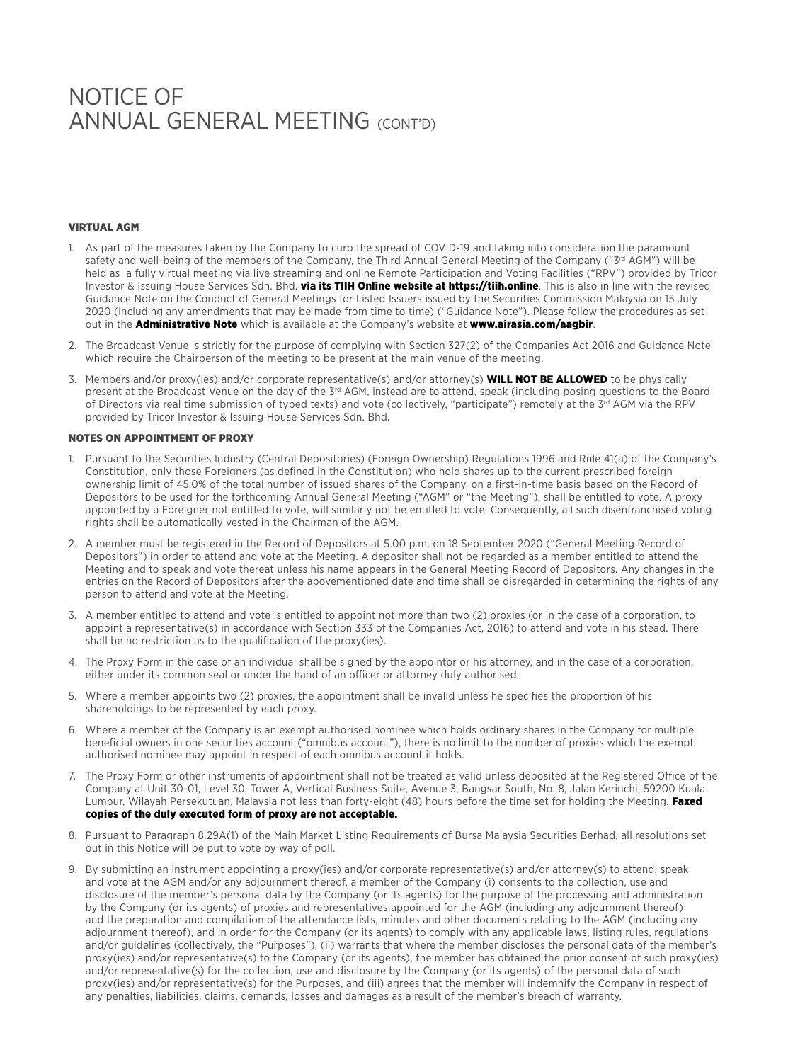### VIRTUAL AGM

- 1. As part of the measures taken by the Company to curb the spread of COVID-19 and taking into consideration the paramount safety and well-being of the members of the Company, the Third Annual General Meeting of the Company ("3<sup>rd</sup> AGM") will be held as a fully virtual meeting via live streaming and online Remote Participation and Voting Facilities ("RPV") provided by Tricor Investor & Issuing House Services Sdn. Bhd. via its TIIH Online website at https://tiih.online. This is also in line with the revised Guidance Note on the Conduct of General Meetings for Listed Issuers issued by the Securities Commission Malaysia on 15 July 2020 (including any amendments that may be made from time to time) ("Guidance Note"). Please follow the procedures as set out in the **Administrative Note** which is available at the Company's website at www.airasia.com/aagbir.
- 2. The Broadcast Venue is strictly for the purpose of complying with Section 327(2) of the Companies Act 2016 and Guidance Note which require the Chairperson of the meeting to be present at the main venue of the meeting.
- 3. Members and/or proxy(ies) and/or corporate representative(s) and/or attorney(s) WILL NOT BE ALLOWED to be physically present at the Broadcast Venue on the day of the 3<sup>rd</sup> AGM, instead are to attend, speak (including posing questions to the Board of Directors via real time submission of typed texts) and vote (collectively, "participate") remotely at the 3<sup>rd</sup> AGM via the RPV provided by Tricor Investor & Issuing House Services Sdn. Bhd.

### NOTES ON APPOINTMENT OF PROXY

- 1. Pursuant to the Securities Industry (Central Depositories) (Foreign Ownership) Regulations 1996 and Rule 41(a) of the Company's Constitution, only those Foreigners (as defined in the Constitution) who hold shares up to the current prescribed foreign ownership limit of 45.0% of the total number of issued shares of the Company, on a first-in-time basis based on the Record of Depositors to be used for the forthcoming Annual General Meeting ("AGM" or "the Meeting"), shall be entitled to vote. A proxy appointed by a Foreigner not entitled to vote, will similarly not be entitled to vote. Consequently, all such disenfranchised voting rights shall be automatically vested in the Chairman of the AGM.
- 2. A member must be registered in the Record of Depositors at 5.00 p.m. on 18 September 2020 ("General Meeting Record of Depositors") in order to attend and vote at the Meeting. A depositor shall not be regarded as a member entitled to attend the Meeting and to speak and vote thereat unless his name appears in the General Meeting Record of Depositors. Any changes in the entries on the Record of Depositors after the abovementioned date and time shall be disregarded in determining the rights of any person to attend and vote at the Meeting.
- 3. A member entitled to attend and vote is entitled to appoint not more than two (2) proxies (or in the case of a corporation, to appoint a representative(s) in accordance with Section 333 of the Companies Act, 2016) to attend and vote in his stead. There shall be no restriction as to the qualification of the proxy(ies).
- 4. The Proxy Form in the case of an individual shall be signed by the appointor or his attorney, and in the case of a corporation, either under its common seal or under the hand of an officer or attorney duly authorised.
- 5. Where a member appoints two (2) proxies, the appointment shall be invalid unless he specifies the proportion of his shareholdings to be represented by each proxy.
- 6. Where a member of the Company is an exempt authorised nominee which holds ordinary shares in the Company for multiple beneficial owners in one securities account ("omnibus account"), there is no limit to the number of proxies which the exempt authorised nominee may appoint in respect of each omnibus account it holds.
- 7. The Proxy Form or other instruments of appointment shall not be treated as valid unless deposited at the Registered Office of the Company at Unit 30-01, Level 30, Tower A, Vertical Business Suite, Avenue 3, Bangsar South, No. 8, Jalan Kerinchi, 59200 Kuala Lumpur, Wilayah Persekutuan, Malaysia not less than forty-eight (48) hours before the time set for holding the Meeting. Faxed copies of the duly executed form of proxy are not acceptable.
- 8. Pursuant to Paragraph 8.29A(1) of the Main Market Listing Requirements of Bursa Malaysia Securities Berhad, all resolutions set out in this Notice will be put to vote by way of poll.
- 9. By submitting an instrument appointing a proxy(ies) and/or corporate representative(s) and/or attorney(s) to attend, speak and vote at the AGM and/or any adjournment thereof, a member of the Company (i) consents to the collection, use and disclosure of the member's personal data by the Company (or its agents) for the purpose of the processing and administration by the Company (or its agents) of proxies and representatives appointed for the AGM (including any adjournment thereof) and the preparation and compilation of the attendance lists, minutes and other documents relating to the AGM (including any adjournment thereof), and in order for the Company (or its agents) to comply with any applicable laws, listing rules, regulations and/or guidelines (collectively, the "Purposes"), (ii) warrants that where the member discloses the personal data of the member's proxy(ies) and/or representative(s) to the Company (or its agents), the member has obtained the prior consent of such proxy(ies) and/or representative(s) for the collection, use and disclosure by the Company (or its agents) of the personal data of such proxy(ies) and/or representative(s) for the Purposes, and (iii) agrees that the member will indemnify the Company in respect of any penalties, liabilities, claims, demands, losses and damages as a result of the member's breach of warranty.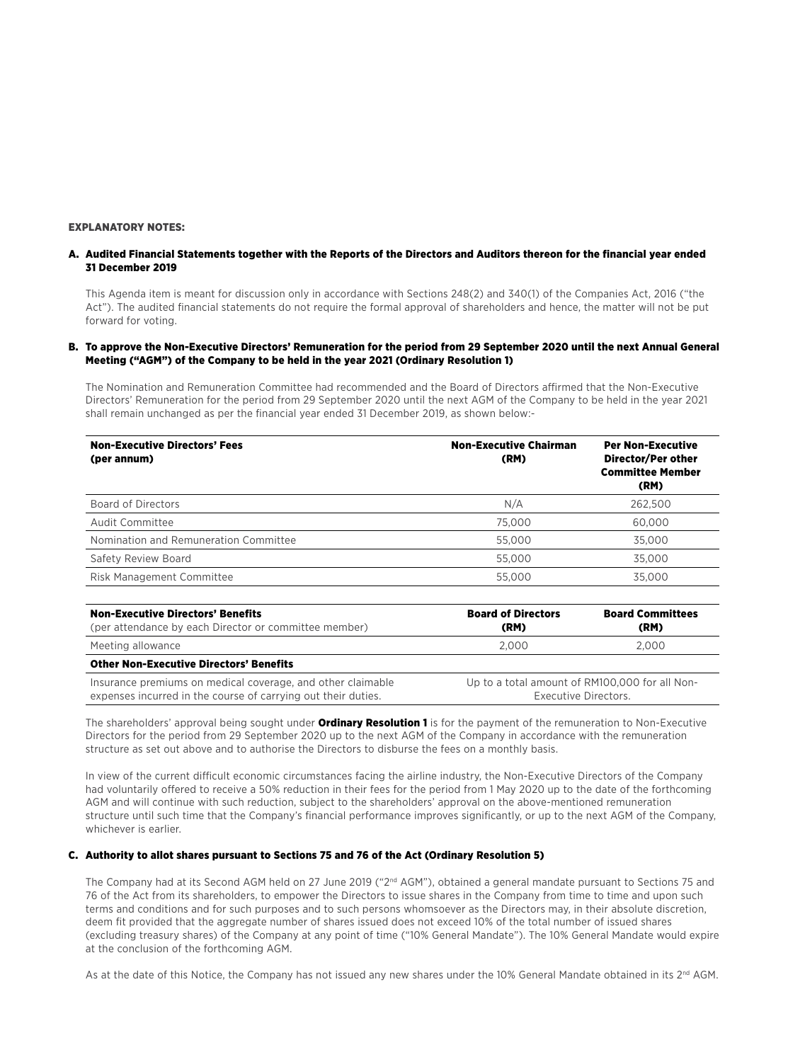### EXPLANATORY NOTES:

### A. Audited Financial Statements together with the Reports of the Directors and Auditors thereon for the financial year ended 31 December 2019

This Agenda item is meant for discussion only in accordance with Sections 248(2) and 340(1) of the Companies Act, 2016 ("the Act"). The audited financial statements do not require the formal approval of shareholders and hence, the matter will not be put forward for voting.

### B. To approve the Non-Executive Directors' Remuneration for the period from 29 September 2020 until the next Annual General Meeting ("AGM") of the Company to be held in the year 2021 (Ordinary Resolution 1)

The Nomination and Remuneration Committee had recommended and the Board of Directors affirmed that the Non-Executive Directors' Remuneration for the period from 29 September 2020 until the next AGM of the Company to be held in the year 2021 shall remain unchanged as per the financial year ended 31 December 2019, as shown below:-

| <b>Non-Executive Directors' Fees</b><br>(per annum) | <b>Non-Executive Chairman</b><br>(RM) | <b>Per Non-Executive</b><br>Director/Per other<br><b>Committee Member</b><br>(RM) |
|-----------------------------------------------------|---------------------------------------|-----------------------------------------------------------------------------------|
| Board of Directors                                  | N/A                                   | 262.500                                                                           |
| Audit Committee                                     | 75,000                                | 60,000                                                                            |
| Nomination and Remuneration Committee               | 55,000                                | 35,000                                                                            |
| Safety Review Board                                 | 55,000                                | 35,000                                                                            |
| Risk Management Committee                           | 55,000                                | 35,000                                                                            |

| <b>Non-Executive Directors' Benefits</b><br>(per attendance by each Director or committee member)                            | <b>Board of Directors</b><br>(RM) | <b>Board Committees</b><br>(RM)                                        |
|------------------------------------------------------------------------------------------------------------------------------|-----------------------------------|------------------------------------------------------------------------|
| Meeting allowance                                                                                                            | 2.000                             | 2.000                                                                  |
| <b>Other Non-Executive Directors' Benefits</b>                                                                               |                                   |                                                                        |
| Insurance premiums on medical coverage, and other claimable<br>expenses incurred in the course of carrying out their duties. |                                   | Up to a total amount of RM100,000 for all Non-<br>Executive Directors. |

The shareholders' approval being sought under **Ordinary Resolution 1** is for the payment of the remuneration to Non-Executive Directors for the period from 29 September 2020 up to the next AGM of the Company in accordance with the remuneration structure as set out above and to authorise the Directors to disburse the fees on a monthly basis.

In view of the current difficult economic circumstances facing the airline industry, the Non-Executive Directors of the Company had voluntarily offered to receive a 50% reduction in their fees for the period from 1 May 2020 up to the date of the forthcoming AGM and will continue with such reduction, subject to the shareholders' approval on the above-mentioned remuneration structure until such time that the Company's financial performance improves significantly, or up to the next AGM of the Company, whichever is earlier.

#### C. Authority to allot shares pursuant to Sections 75 and 76 of the Act (Ordinary Resolution 5)

The Company had at its Second AGM held on 27 June 2019 ("2<sup>nd</sup> AGM"), obtained a general mandate pursuant to Sections 75 and 76 of the Act from its shareholders, to empower the Directors to issue shares in the Company from time to time and upon such terms and conditions and for such purposes and to such persons whomsoever as the Directors may, in their absolute discretion, deem fit provided that the aggregate number of shares issued does not exceed 10% of the total number of issued shares (excluding treasury shares) of the Company at any point of time ("10% General Mandate"). The 10% General Mandate would expire at the conclusion of the forthcoming AGM.

As at the date of this Notice, the Company has not issued any new shares under the 10% General Mandate obtained in its 2<sup>nd</sup> AGM.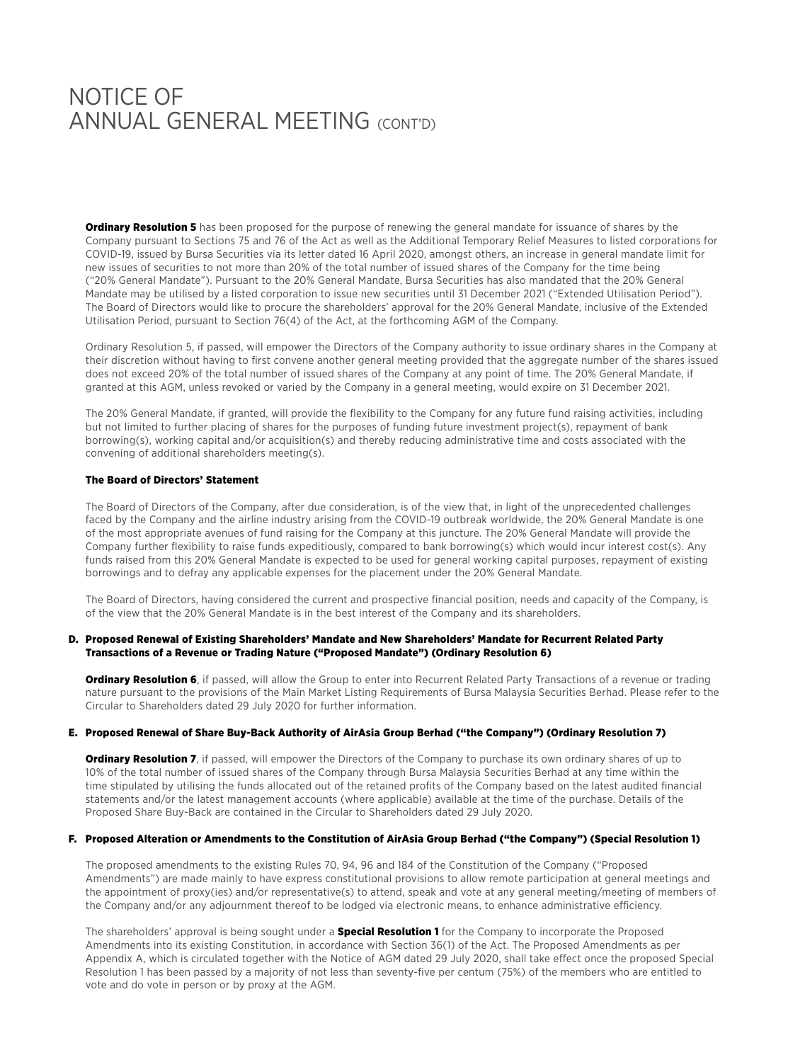### Notice of ANNUAL GENERAL MEETING (CONT'D)

**Ordinary Resolution 5** has been proposed for the purpose of renewing the general mandate for issuance of shares by the Company pursuant to Sections 75 and 76 of the Act as well as the Additional Temporary Relief Measures to listed corporations for COVID-19, issued by Bursa Securities via its letter dated 16 April 2020, amongst others, an increase in general mandate limit for new issues of securities to not more than 20% of the total number of issued shares of the Company for the time being ("20% General Mandate"). Pursuant to the 20% General Mandate, Bursa Securities has also mandated that the 20% General Mandate may be utilised by a listed corporation to issue new securities until 31 December 2021 ("Extended Utilisation Period"). The Board of Directors would like to procure the shareholders' approval for the 20% General Mandate, inclusive of the Extended Utilisation Period, pursuant to Section 76(4) of the Act, at the forthcoming AGM of the Company.

Ordinary Resolution 5, if passed, will empower the Directors of the Company authority to issue ordinary shares in the Company at their discretion without having to first convene another general meeting provided that the aggregate number of the shares issued does not exceed 20% of the total number of issued shares of the Company at any point of time. The 20% General Mandate, if granted at this AGM, unless revoked or varied by the Company in a general meeting, would expire on 31 December 2021.

The 20% General Mandate, if granted, will provide the flexibility to the Company for any future fund raising activities, including but not limited to further placing of shares for the purposes of funding future investment project(s), repayment of bank borrowing(s), working capital and/or acquisition(s) and thereby reducing administrative time and costs associated with the convening of additional shareholders meeting(s).

### The Board of Directors' Statement

The Board of Directors of the Company, after due consideration, is of the view that, in light of the unprecedented challenges faced by the Company and the airline industry arising from the COVID-19 outbreak worldwide, the 20% General Mandate is one of the most appropriate avenues of fund raising for the Company at this juncture. The 20% General Mandate will provide the Company further flexibility to raise funds expeditiously, compared to bank borrowing(s) which would incur interest cost(s). Any funds raised from this 20% General Mandate is expected to be used for general working capital purposes, repayment of existing borrowings and to defray any applicable expenses for the placement under the 20% General Mandate.

The Board of Directors, having considered the current and prospective financial position, needs and capacity of the Company, is of the view that the 20% General Mandate is in the best interest of the Company and its shareholders.

### D. Proposed Renewal of Existing Shareholders' Mandate and New Shareholders' Mandate for Recurrent Related Party Transactions of a Revenue or Trading Nature ("Proposed Mandate") (Ordinary Resolution 6)

**Ordinary Resolution 6**, if passed, will allow the Group to enter into Recurrent Related Party Transactions of a revenue or trading nature pursuant to the provisions of the Main Market Listing Requirements of Bursa Malaysia Securities Berhad. Please refer to the Circular to Shareholders dated 29 July 2020 for further information.

### E. Proposed Renewal of Share Buy-Back Authority of AirAsia Group Berhad ("the Company") (Ordinary Resolution 7)

**Ordinary Resolution 7**, if passed, will empower the Directors of the Company to purchase its own ordinary shares of up to 10% of the total number of issued shares of the Company through Bursa Malaysia Securities Berhad at any time within the time stipulated by utilising the funds allocated out of the retained profits of the Company based on the latest audited financial statements and/or the latest management accounts (where applicable) available at the time of the purchase. Details of the Proposed Share Buy-Back are contained in the Circular to Shareholders dated 29 July 2020.

#### F. Proposed Alteration or Amendments to the Constitution of AirAsia Group Berhad ("the Company") (Special Resolution 1)

The proposed amendments to the existing Rules 70, 94, 96 and 184 of the Constitution of the Company ("Proposed Amendments") are made mainly to have express constitutional provisions to allow remote participation at general meetings and the appointment of proxy(ies) and/or representative(s) to attend, speak and vote at any general meeting/meeting of members of the Company and/or any adjournment thereof to be lodged via electronic means, to enhance administrative efficiency.

The shareholders' approval is being sought under a **Special Resolution 1** for the Company to incorporate the Proposed Amendments into its existing Constitution, in accordance with Section 36(1) of the Act. The Proposed Amendments as per Appendix A, which is circulated together with the Notice of AGM dated 29 July 2020, shall take effect once the proposed Special Resolution 1 has been passed by a majority of not less than seventy-five per centum (75%) of the members who are entitled to vote and do vote in person or by proxy at the AGM.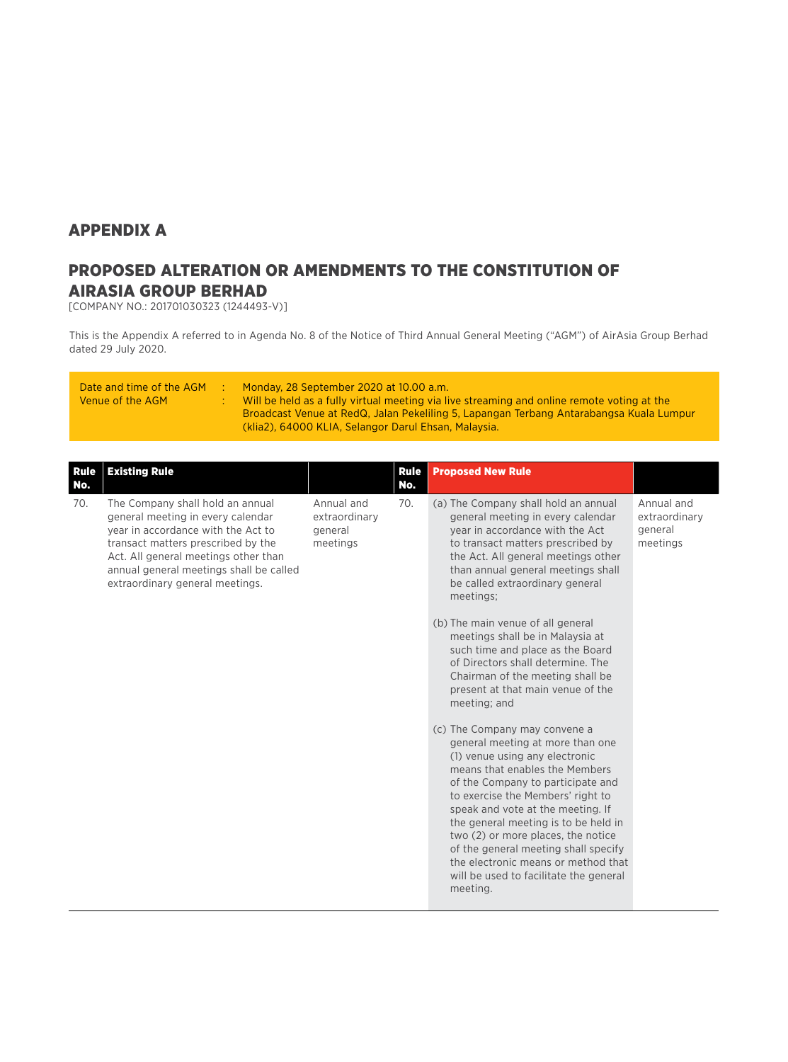### APPENDIX A

### PROPOSED ALTERATION OR AMENDMENTS TO THE CONSTITUTION OF AIRASIA GROUP BERHAD

[COMPANY NO.: 201701030323 (1244493-V)]

This is the Appendix A referred to in Agenda No. 8 of the Notice of Third Annual General Meeting ("AGM") of AirAsia Group Berhad dated 29 July 2020.

| Date and time of the AGM<br>Venue of the AGM | Monday, 28 September 2020 at 10.00 a.m.<br>Will be held as a fully virtual meeting via live streaming and online remote voting at the<br>Broadcast Venue at RedQ, Jalan Pekeliling 5, Lapangan Terbang Antarabangsa Kuala Lumpur |
|----------------------------------------------|----------------------------------------------------------------------------------------------------------------------------------------------------------------------------------------------------------------------------------|
|                                              | (klia2), 64000 KLIA, Selangor Darul Ehsan, Malaysia.                                                                                                                                                                             |

| <b>Rule</b><br>No. | <b>Existing Rule</b>                                                                                                                                                                                                                                                    |                                                    | <b>Rule</b><br>No. | <b>Proposed New Rule</b>                                                                                                                                                                                                                                                                                                                                                                                                                                                                                                                                                                                                                                                                                                                                                                                                                                                                                                                                                                             |                                                    |
|--------------------|-------------------------------------------------------------------------------------------------------------------------------------------------------------------------------------------------------------------------------------------------------------------------|----------------------------------------------------|--------------------|------------------------------------------------------------------------------------------------------------------------------------------------------------------------------------------------------------------------------------------------------------------------------------------------------------------------------------------------------------------------------------------------------------------------------------------------------------------------------------------------------------------------------------------------------------------------------------------------------------------------------------------------------------------------------------------------------------------------------------------------------------------------------------------------------------------------------------------------------------------------------------------------------------------------------------------------------------------------------------------------------|----------------------------------------------------|
| 70.                | The Company shall hold an annual<br>general meeting in every calendar<br>year in accordance with the Act to<br>transact matters prescribed by the<br>Act. All general meetings other than<br>annual general meetings shall be called<br>extraordinary general meetings. | Annual and<br>extraordinary<br>general<br>meetings | 70.                | (a) The Company shall hold an annual<br>general meeting in every calendar<br>year in accordance with the Act<br>to transact matters prescribed by<br>the Act. All general meetings other<br>than annual general meetings shall<br>be called extraordinary general<br>meetings;<br>(b) The main venue of all general<br>meetings shall be in Malaysia at<br>such time and place as the Board<br>of Directors shall determine. The<br>Chairman of the meeting shall be<br>present at that main venue of the<br>meeting; and<br>(c) The Company may convene a<br>general meeting at more than one<br>(1) venue using any electronic<br>means that enables the Members<br>of the Company to participate and<br>to exercise the Members' right to<br>speak and vote at the meeting. If<br>the general meeting is to be held in<br>two (2) or more places, the notice<br>of the general meeting shall specify<br>the electronic means or method that<br>will be used to facilitate the general<br>meeting. | Annual and<br>extraordinary<br>general<br>meetings |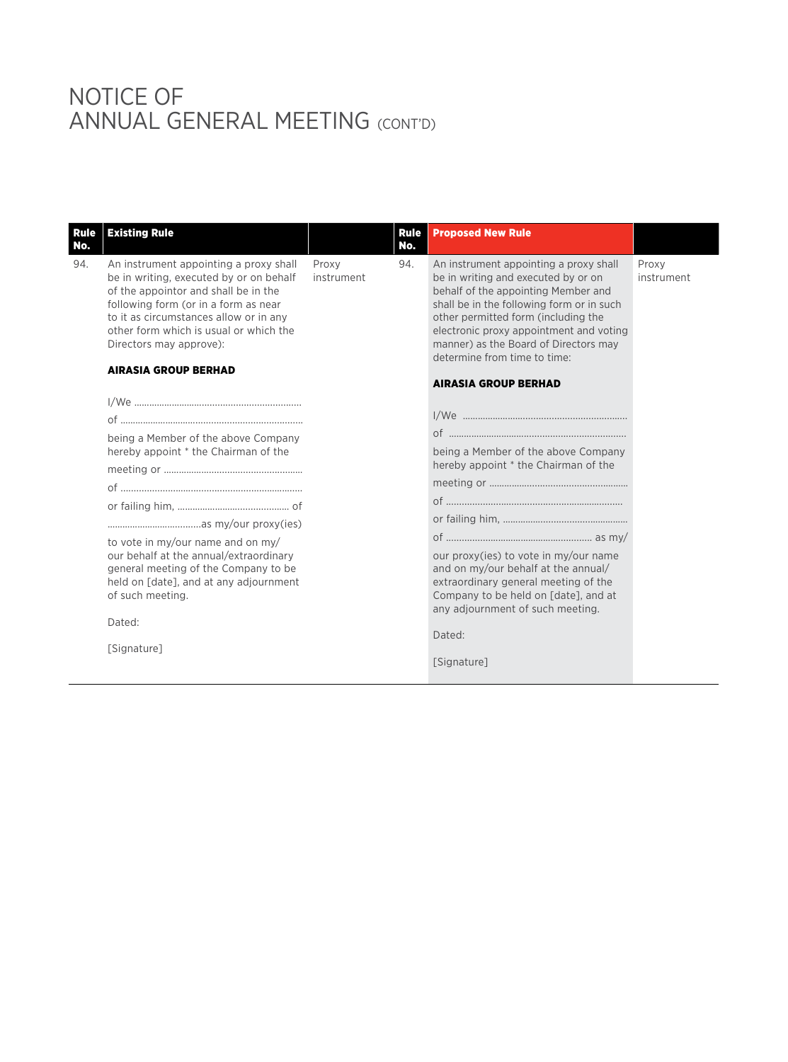| Rule<br>No. | <b>Existing Rule</b>                                                                                                                                                                                                                                                             |                     | <b>Rule</b><br>No. | <b>Proposed New Rule</b>                                                                                                                                                                                                                                                                                                     |                     |
|-------------|----------------------------------------------------------------------------------------------------------------------------------------------------------------------------------------------------------------------------------------------------------------------------------|---------------------|--------------------|------------------------------------------------------------------------------------------------------------------------------------------------------------------------------------------------------------------------------------------------------------------------------------------------------------------------------|---------------------|
| 94.         | An instrument appointing a proxy shall<br>be in writing, executed by or on behalf<br>of the appointor and shall be in the<br>following form (or in a form as near<br>to it as circumstances allow or in any<br>other form which is usual or which the<br>Directors may approve): | Proxy<br>instrument | 94.                | An instrument appointing a proxy shall<br>be in writing and executed by or on<br>behalf of the appointing Member and<br>shall be in the following form or in such<br>other permitted form (including the<br>electronic proxy appointment and voting<br>manner) as the Board of Directors may<br>determine from time to time: | Proxy<br>instrument |
|             | <b>AIRASIA GROUP BERHAD</b>                                                                                                                                                                                                                                                      |                     |                    | <b>AIRASIA GROUP BERHAD</b>                                                                                                                                                                                                                                                                                                  |                     |
|             | being a Member of the above Company<br>hereby appoint * the Chairman of the<br>to vote in my/our name and on my/<br>our behalf at the annual/extraordinary<br>general meeting of the Company to be<br>held on [date], and at any adjournment                                     |                     |                    | being a Member of the above Company<br>hereby appoint * the Chairman of the<br>our proxy(ies) to vote in my/our name<br>and on my/our behalf at the annual/<br>extraordinary general meeting of the                                                                                                                          |                     |
|             | of such meeting.<br>Dated:                                                                                                                                                                                                                                                       |                     |                    | Company to be held on [date], and at<br>any adjournment of such meeting.                                                                                                                                                                                                                                                     |                     |
|             | [Signature]                                                                                                                                                                                                                                                                      |                     |                    | Dated:<br>[Signature]                                                                                                                                                                                                                                                                                                        |                     |
|             |                                                                                                                                                                                                                                                                                  |                     |                    |                                                                                                                                                                                                                                                                                                                              |                     |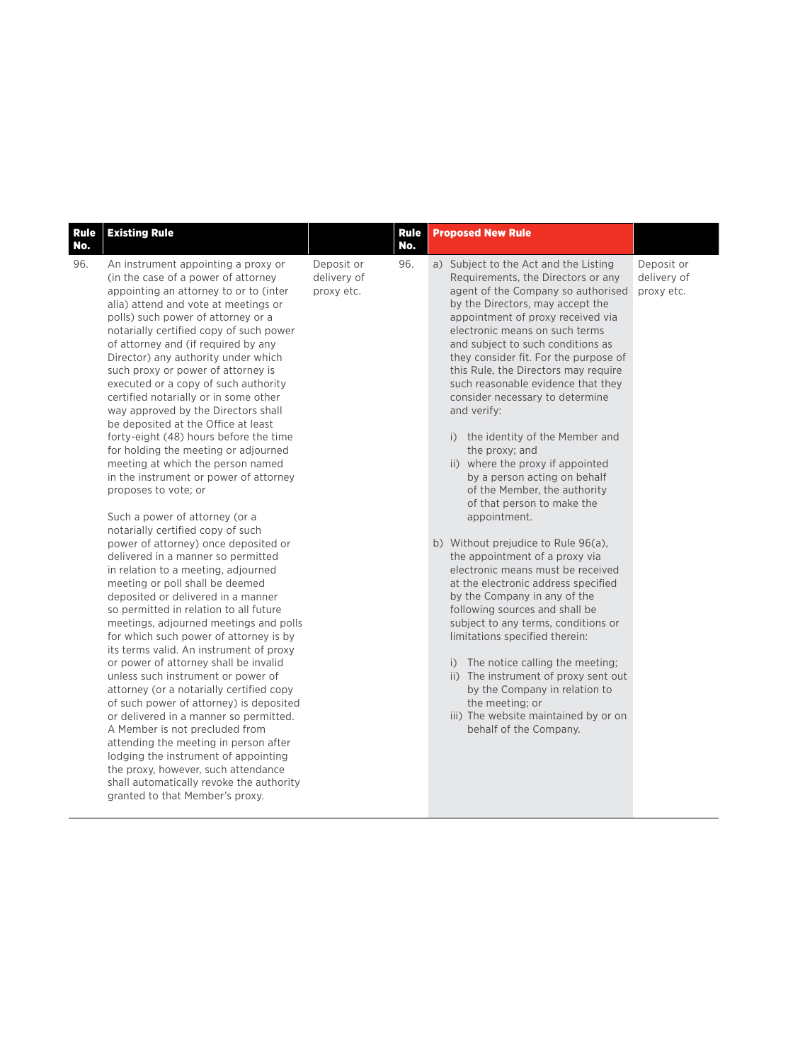| <b>Rule</b><br>No. | <b>Existing Rule</b>                                                                                                                                                                                                                                                                                                                                                                                                                                                                                                                                                                                                                                                                                                                                                                                                                                                                                                                                                                                                                                                                                                                                                                                                                                                                                                                                                                                                                                                                                                                                                                                                             |                                         | <b>Rule</b><br>No. | <b>Proposed New Rule</b>                                                                                                                                                                                                                                                                                                                                                                                                                                                                                                                                                                                                                                                                                                                                                                                                                                                                                                                                                                                                                                                                                                                                |                                         |
|--------------------|----------------------------------------------------------------------------------------------------------------------------------------------------------------------------------------------------------------------------------------------------------------------------------------------------------------------------------------------------------------------------------------------------------------------------------------------------------------------------------------------------------------------------------------------------------------------------------------------------------------------------------------------------------------------------------------------------------------------------------------------------------------------------------------------------------------------------------------------------------------------------------------------------------------------------------------------------------------------------------------------------------------------------------------------------------------------------------------------------------------------------------------------------------------------------------------------------------------------------------------------------------------------------------------------------------------------------------------------------------------------------------------------------------------------------------------------------------------------------------------------------------------------------------------------------------------------------------------------------------------------------------|-----------------------------------------|--------------------|---------------------------------------------------------------------------------------------------------------------------------------------------------------------------------------------------------------------------------------------------------------------------------------------------------------------------------------------------------------------------------------------------------------------------------------------------------------------------------------------------------------------------------------------------------------------------------------------------------------------------------------------------------------------------------------------------------------------------------------------------------------------------------------------------------------------------------------------------------------------------------------------------------------------------------------------------------------------------------------------------------------------------------------------------------------------------------------------------------------------------------------------------------|-----------------------------------------|
| 96.                | An instrument appointing a proxy or<br>(in the case of a power of attorney<br>appointing an attorney to or to (inter<br>alia) attend and vote at meetings or<br>polls) such power of attorney or a<br>notarially certified copy of such power<br>of attorney and (if required by any<br>Director) any authority under which<br>such proxy or power of attorney is<br>executed or a copy of such authority<br>certified notarially or in some other<br>way approved by the Directors shall<br>be deposited at the Office at least<br>forty-eight (48) hours before the time<br>for holding the meeting or adjourned<br>meeting at which the person named<br>in the instrument or power of attorney<br>proposes to vote; or<br>Such a power of attorney (or a<br>notarially certified copy of such<br>power of attorney) once deposited or<br>delivered in a manner so permitted<br>in relation to a meeting, adjourned<br>meeting or poll shall be deemed<br>deposited or delivered in a manner<br>so permitted in relation to all future<br>meetings, adjourned meetings and polls<br>for which such power of attorney is by<br>its terms valid. An instrument of proxy<br>or power of attorney shall be invalid<br>unless such instrument or power of<br>attorney (or a notarially certified copy<br>of such power of attorney) is deposited<br>or delivered in a manner so permitted.<br>A Member is not precluded from<br>attending the meeting in person after<br>lodging the instrument of appointing<br>the proxy, however, such attendance<br>shall automatically revoke the authority<br>granted to that Member's proxy. | Deposit or<br>delivery of<br>proxy etc. | 96.                | a) Subject to the Act and the Listing<br>Requirements, the Directors or any<br>agent of the Company so authorised<br>by the Directors, may accept the<br>appointment of proxy received via<br>electronic means on such terms<br>and subject to such conditions as<br>they consider fit. For the purpose of<br>this Rule, the Directors may require<br>such reasonable evidence that they<br>consider necessary to determine<br>and verify:<br>i) the identity of the Member and<br>the proxy; and<br>ii) where the proxy if appointed<br>by a person acting on behalf<br>of the Member, the authority<br>of that person to make the<br>appointment.<br>b) Without prejudice to Rule 96(a),<br>the appointment of a proxy via<br>electronic means must be received<br>at the electronic address specified<br>by the Company in any of the<br>following sources and shall be<br>subject to any terms, conditions or<br>limitations specified therein:<br>i) The notice calling the meeting;<br>ii) The instrument of proxy sent out<br>by the Company in relation to<br>the meeting: or<br>iii) The website maintained by or on<br>behalf of the Company. | Deposit or<br>delivery of<br>proxy etc. |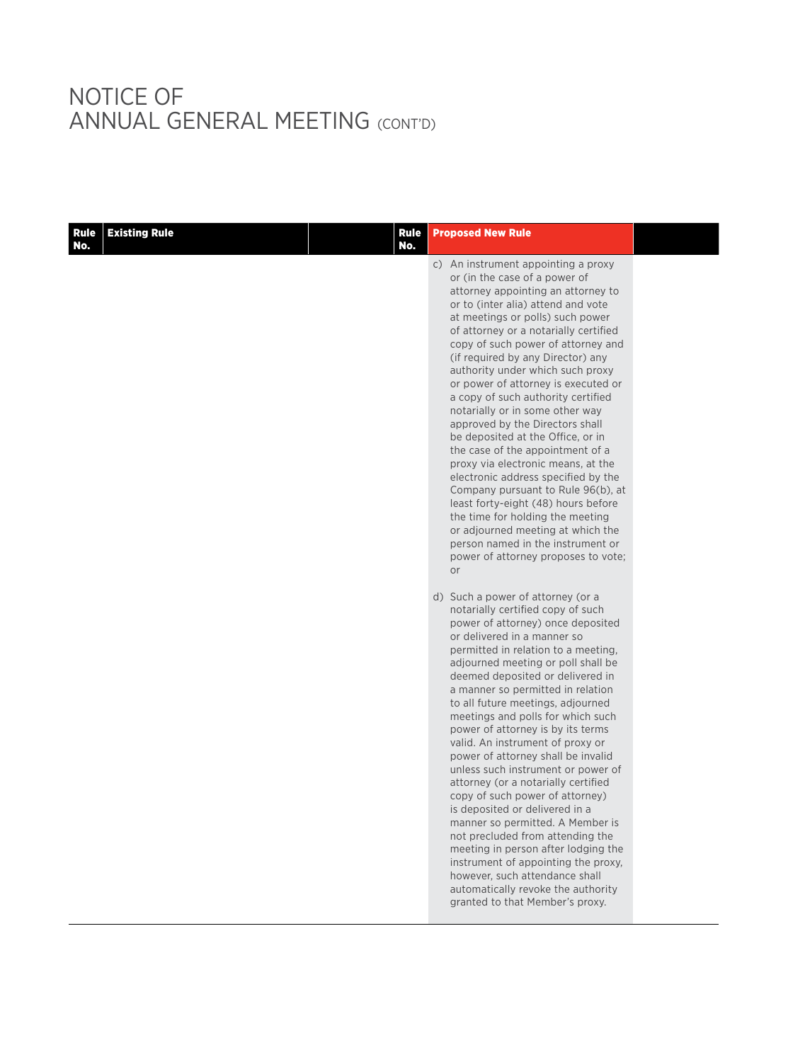| <b>Rule</b><br>No. | <b>Existing Rule</b> | <b>Rule</b><br>No. | <b>Proposed New Rule</b>                                                                                                                                                                                                                                                                                                                                                                                                                                                                                                                                                                                                                                                                                                                                                                                                                                                                                     |  |
|--------------------|----------------------|--------------------|--------------------------------------------------------------------------------------------------------------------------------------------------------------------------------------------------------------------------------------------------------------------------------------------------------------------------------------------------------------------------------------------------------------------------------------------------------------------------------------------------------------------------------------------------------------------------------------------------------------------------------------------------------------------------------------------------------------------------------------------------------------------------------------------------------------------------------------------------------------------------------------------------------------|--|
|                    |                      |                    | c) An instrument appointing a proxy<br>or (in the case of a power of<br>attorney appointing an attorney to<br>or to (inter alia) attend and vote<br>at meetings or polls) such power<br>of attorney or a notarially certified<br>copy of such power of attorney and<br>(if required by any Director) any<br>authority under which such proxy<br>or power of attorney is executed or<br>a copy of such authority certified<br>notarially or in some other way<br>approved by the Directors shall<br>be deposited at the Office, or in<br>the case of the appointment of a<br>proxy via electronic means, at the<br>electronic address specified by the<br>Company pursuant to Rule 96(b), at<br>least forty-eight (48) hours before<br>the time for holding the meeting<br>or adjourned meeting at which the<br>person named in the instrument or<br>power of attorney proposes to vote;<br>or                |  |
|                    |                      |                    | d) Such a power of attorney (or a<br>notarially certified copy of such<br>power of attorney) once deposited<br>or delivered in a manner so<br>permitted in relation to a meeting,<br>adjourned meeting or poll shall be<br>deemed deposited or delivered in<br>a manner so permitted in relation<br>to all future meetings, adjourned<br>meetings and polls for which such<br>power of attorney is by its terms<br>valid. An instrument of proxy or<br>power of attorney shall be invalid<br>unless such instrument or power of<br>attorney (or a notarially certified<br>copy of such power of attorney)<br>is deposited or delivered in a<br>manner so permitted. A Member is<br>not precluded from attending the<br>meeting in person after lodging the<br>instrument of appointing the proxy,<br>however, such attendance shall<br>automatically revoke the authority<br>granted to that Member's proxy. |  |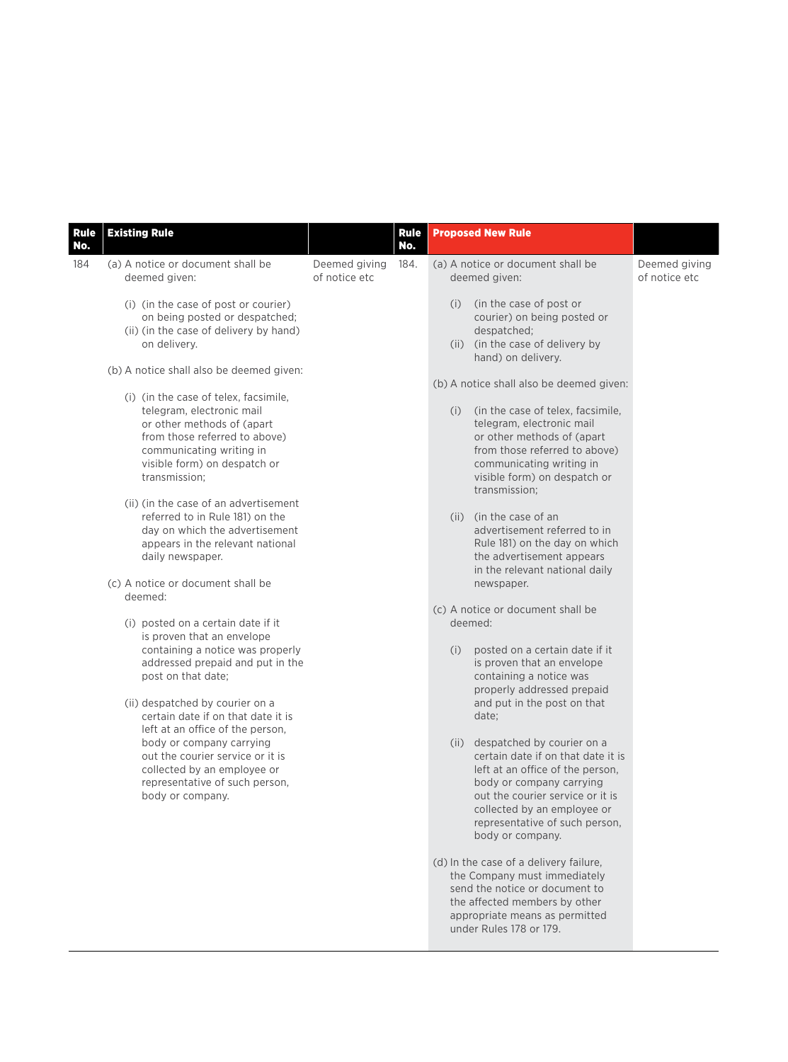| <b>Rule</b><br>No. | <b>Existing Rule</b>                                                                                                                                                                                           |                                | <b>Rule</b><br>No. | <b>Proposed New Rule</b>                                                                                                                                                                                                                                          |                                |
|--------------------|----------------------------------------------------------------------------------------------------------------------------------------------------------------------------------------------------------------|--------------------------------|--------------------|-------------------------------------------------------------------------------------------------------------------------------------------------------------------------------------------------------------------------------------------------------------------|--------------------------------|
| 184                | (a) A notice or document shall be<br>deemed given:                                                                                                                                                             | Deemed giving<br>of notice etc | 184.               | (a) A notice or document shall be<br>deemed given:                                                                                                                                                                                                                | Deemed giving<br>of notice etc |
|                    | (i) (in the case of post or courier)<br>on being posted or despatched;<br>(ii) (in the case of delivery by hand)<br>on delivery.                                                                               |                                |                    | (in the case of post or<br>(i)<br>courier) on being posted or<br>despatched;<br>(ii) (in the case of delivery by<br>hand) on delivery.                                                                                                                            |                                |
|                    | (b) A notice shall also be deemed given:                                                                                                                                                                       |                                |                    | (b) A notice shall also be deemed given:                                                                                                                                                                                                                          |                                |
|                    | (i) (in the case of telex, facsimile,<br>telegram, electronic mail<br>or other methods of (apart<br>from those referred to above)<br>communicating writing in<br>visible form) on despatch or<br>transmission: |                                |                    | (in the case of telex, facsimile,<br>(i)<br>telegram, electronic mail<br>or other methods of (apart<br>from those referred to above)<br>communicating writing in<br>visible form) on despatch or<br>transmission:                                                 |                                |
|                    | (ii) (in the case of an advertisement<br>referred to in Rule 181) on the<br>day on which the advertisement<br>appears in the relevant national<br>daily newspaper.                                             |                                |                    | (ii) (in the case of an<br>advertisement referred to in<br>Rule 181) on the day on which<br>the advertisement appears<br>in the relevant national daily                                                                                                           |                                |
|                    | (c) A notice or document shall be<br>deemed:                                                                                                                                                                   |                                |                    | newspaper.                                                                                                                                                                                                                                                        |                                |
|                    | (i) posted on a certain date if it<br>is proven that an envelope                                                                                                                                               |                                |                    | (c) A notice or document shall be<br>deemed:                                                                                                                                                                                                                      |                                |
|                    | containing a notice was properly<br>addressed prepaid and put in the<br>post on that date;<br>(ii) despatched by courier on a<br>certain date if on that date it is                                            |                                |                    | posted on a certain date if it<br>(i)<br>is proven that an envelope<br>containing a notice was<br>properly addressed prepaid<br>and put in the post on that<br>date;                                                                                              |                                |
|                    | left at an office of the person,<br>body or company carrying<br>out the courier service or it is<br>collected by an employee or<br>representative of such person,<br>body or company.                          |                                |                    | despatched by courier on a<br>(ii)<br>certain date if on that date it is<br>left at an office of the person,<br>body or company carrying<br>out the courier service or it is<br>collected by an employee or<br>representative of such person,<br>body or company. |                                |
|                    |                                                                                                                                                                                                                |                                |                    | (d) In the case of a delivery failure,<br>the Company must immediately<br>send the notice or document to<br>the affected members by other<br>appropriate means as permitted                                                                                       |                                |

under Rules 178 or 179.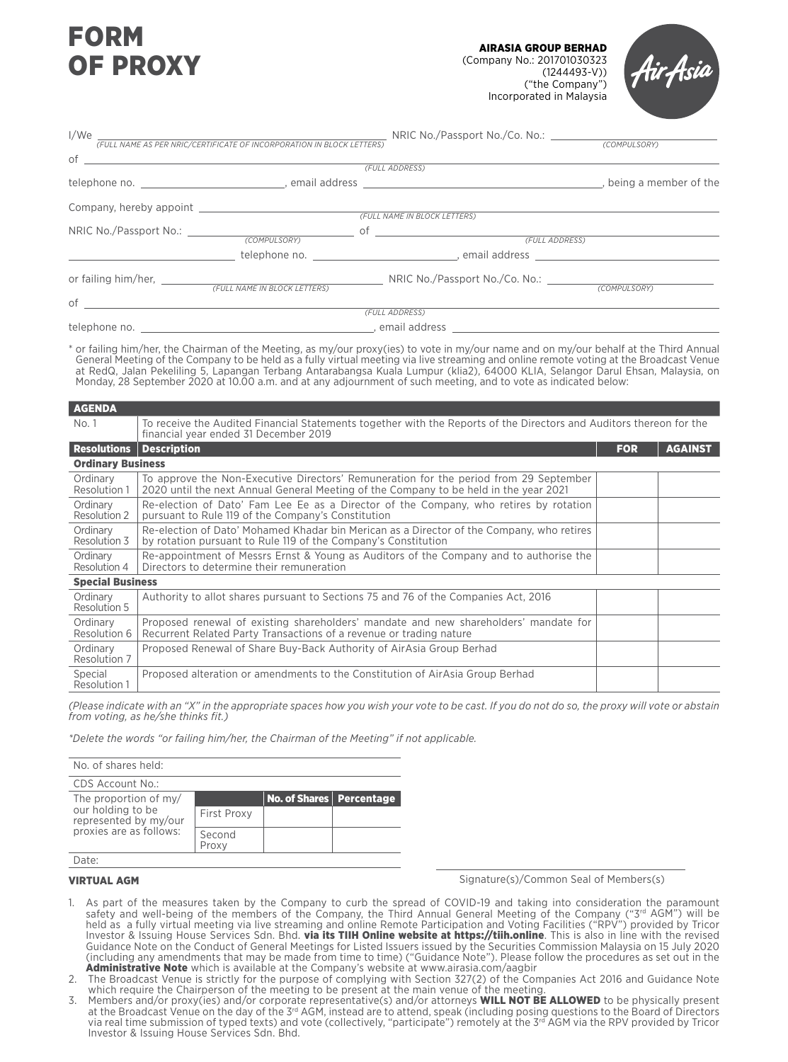# FORM OF PROXY

AIRASIA GROUP BERHAD (Company No.: 201701030323 (1244493-V)) ("the Company") Incorporated in Malaysia



| l/We      | (FULL NAME AS PER NRIC/CERTIFICATE OF INCORPORATION IN BLOCK LETTERS) |                                                                                                                                                                                                                               |  |
|-----------|-----------------------------------------------------------------------|-------------------------------------------------------------------------------------------------------------------------------------------------------------------------------------------------------------------------------|--|
|           |                                                                       |                                                                                                                                                                                                                               |  |
|           |                                                                       | (FULL ADDRESS)                                                                                                                                                                                                                |  |
|           |                                                                       |                                                                                                                                                                                                                               |  |
|           |                                                                       |                                                                                                                                                                                                                               |  |
|           |                                                                       | (FULL NAME IN BLOCK LETTERS)                                                                                                                                                                                                  |  |
|           |                                                                       |                                                                                                                                                                                                                               |  |
|           |                                                                       |                                                                                                                                                                                                                               |  |
|           |                                                                       | telephone no. The contract of the contract of the contract of the contract of the contract of the contract of the contract of the contract of the contract of the contract of the contract of the contract of the contract of |  |
|           |                                                                       |                                                                                                                                                                                                                               |  |
|           |                                                                       |                                                                                                                                                                                                                               |  |
| $\circ$ f |                                                                       |                                                                                                                                                                                                                               |  |
|           |                                                                       | (FULL ADDRESS)                                                                                                                                                                                                                |  |
|           |                                                                       |                                                                                                                                                                                                                               |  |

\* or failing him/her, the Chairman of the Meeting, as my/our proxy(ies) to vote in my/our name and on my/our behalf at the Third Annual General Meeting of the Company to be held as a fully virtual meeting via live streaming and online remote voting at the Broadcast Venue at RedQ, Jalan Pekeliling 5, Lapangan Terbang Antarabangsa Kuala Lumpur (klia2), 64000 KLIA, Selangor Darul Ehsan, Malaysia, on Monday, 28 September 2020 at 10.00 a.m. and at any adjournment of such meeting, and to vote as indicated below:

| <b>AGENDA</b>                  |                                                                                                                                                                                |            |                |  |
|--------------------------------|--------------------------------------------------------------------------------------------------------------------------------------------------------------------------------|------------|----------------|--|
| No. 1                          | To receive the Audited Financial Statements together with the Reports of the Directors and Auditors thereon for the<br>financial year ended 31 December 2019                   |            |                |  |
| <b>Resolutions Description</b> |                                                                                                                                                                                | <b>FOR</b> | <b>AGAINST</b> |  |
| <b>Ordinary Business</b>       |                                                                                                                                                                                |            |                |  |
| Ordinary<br>Resolution 1       | To approve the Non-Executive Directors' Remuneration for the period from 29 September<br>2020 until the next Annual General Meeting of the Company to be held in the year 2021 |            |                |  |
| Ordinary<br>Resolution 2       | Re-election of Dato' Fam Lee Ee as a Director of the Company, who retires by rotation<br>pursuant to Rule 119 of the Company's Constitution                                    |            |                |  |
| Ordinary<br>Resolution 3       | Re-election of Dato' Mohamed Khadar bin Merican as a Director of the Company, who retires<br>by rotation pursuant to Rule 119 of the Company's Constitution                    |            |                |  |
| Ordinary<br>Resolution 4       | Re-appointment of Messrs Ernst & Young as Auditors of the Company and to authorise the<br>Directors to determine their remuneration                                            |            |                |  |
| <b>Special Business</b>        |                                                                                                                                                                                |            |                |  |
| Ordinary<br>Resolution 5       | Authority to allot shares pursuant to Sections 75 and 76 of the Companies Act, 2016                                                                                            |            |                |  |
| Ordinary<br>Resolution 6       | Proposed renewal of existing shareholders' mandate and new shareholders' mandate for<br>Recurrent Related Party Transactions of a revenue or trading nature                    |            |                |  |
| Ordinary<br>Resolution 7       | Proposed Renewal of Share Buy-Back Authority of AirAsia Group Berhad                                                                                                           |            |                |  |
| Special<br>Resolution 1        | Proposed alteration or amendments to the Constitution of AirAsia Group Berhad                                                                                                  |            |                |  |

*(Please indicate with an "X" in the appropriate spaces how you wish your vote to be cast. If you do not do so, the proxy will vote or abstain from voting, as he/she thinks fit.)*

*\*Delete the words "or failing him/her, the Chairman of the Meeting" if not applicable.*

| No. of shares held:                        |                    |                            |  |  |  |
|--------------------------------------------|--------------------|----------------------------|--|--|--|
| CDS Account No.:                           |                    |                            |  |  |  |
| The proportion of my/                      |                    | No. of Shares   Percentage |  |  |  |
| our holding to be<br>represented by my/our | <b>First Proxy</b> |                            |  |  |  |
| proxies are as follows:                    | Second<br>Proxy    |                            |  |  |  |
| ate:                                       |                    |                            |  |  |  |

### VIRTUAL AGM

Signature(s)/Common Seal of Members(s)

- 1. As part of the measures taken by the Company to curb the spread of COVID-19 and taking into consideration the paramount safety and well-being of the members of the Company, the Third Annual General Meeting of the Company ("3<sup>rd</sup> AGM") will be held as a fully virtual meeting via live streaming and online Remote Participation and Voting Facilities ("RPV") provided by Tricor Investor & Issuing House Services Sdn. Bhd. **via its TIIH Online website at https://tiih.online**. This is also in line with the revised Guidance Note on the Conduct of General Meetings for Listed Issuers issued by the Securities Commission Malaysia on 15 July 2020 (including any amendments that may be made from time to time) ("Guidance Note"). Please follow the procedures as set out in the Administrative Note which is available at the Company's website at www.airasia.com/aagbir
- 2. The Broadcast Venue is strictly for the purpose of complying with Section 327(2) of the Companies Act 2016 and Guidance Note which require the Chairperson of the meeting to be present at the main venue of the meeting.
- 3. Members and/or proxy(ies) and/or corporate representative(s) and/or attorneys WILL NOT BE ALLOWED to be physically present at the Broadcast Venue on the day of the 3rd AGM, instead are to attend, speak (including posing questions to the Board of Directors via real time submission of typed texts) and vote (collectively, "participate") remotely at the 3<sup>rd</sup> AGM via the RPV provided by Tricor Investor & Issuing House Services Sdn. Bhd.